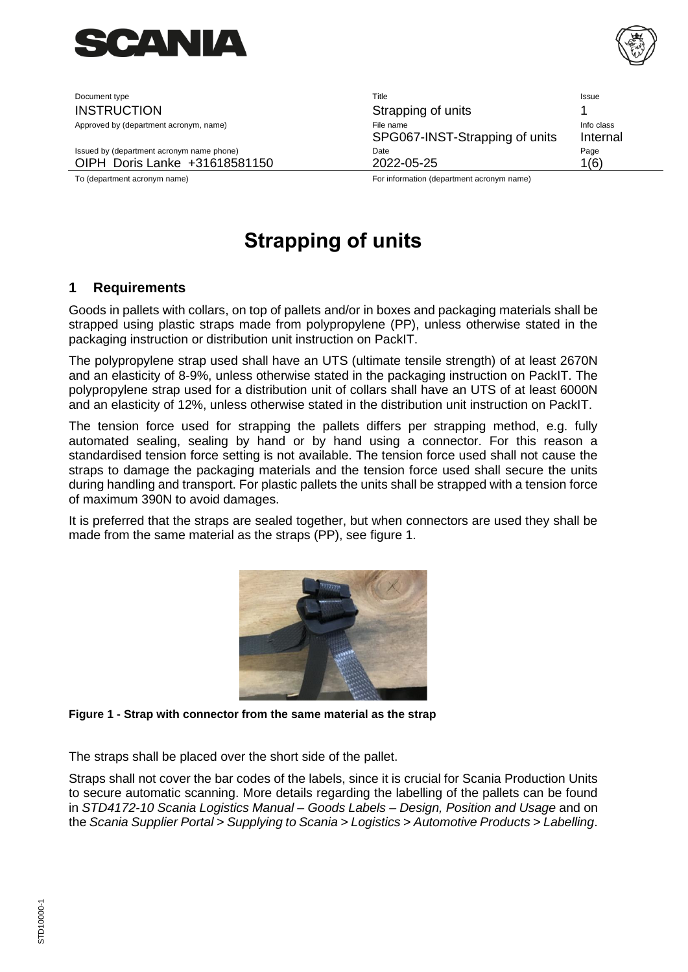

Document type **Title** Issue Issue Issue Issue Issue Issue Issue Issue Issue Issue Issue Issue Issue Issue Issue INSTRUCTION **Strapping of units** 1 Approved by (department acronym, name) and the state of the state of File name Info class and the class of the state of the state of the state of the state of the state of the state of the state of the state of the state o SPG067-INST-Strapping of units Internal Issued by (department acronym name phone) and the Community Contract Date Community Contract Page Page OIPH Doris Lanke +31618581150 2022-05-25 1(6) To (department acronym name) For information (department acronym name)

<span id="page-0-0"></span>

# **[Strapping of units](#page-0-0)**

## **1 Requirements**

Goods in pallets with collars, on top of pallets and/or in boxes and packaging materials shall be strapped using plastic straps made from polypropylene (PP), unless otherwise stated in the packaging instruction or distribution unit instruction on PackIT.

The polypropylene strap used shall have an UTS (ultimate tensile strength) of at least 2670N and an elasticity of 8-9%, unless otherwise stated in the packaging instruction on PackIT. The polypropylene strap used for a distribution unit of collars shall have an UTS of at least 6000N and an elasticity of 12%, unless otherwise stated in the distribution unit instruction on PackIT.

The tension force used for strapping the pallets differs per strapping method, e.g. fully automated sealing, sealing by hand or by hand using a connector. For this reason a standardised tension force setting is not available. The tension force used shall not cause the straps to damage the packaging materials and the tension force used shall secure the units during handling and transport. For plastic pallets the units shall be strapped with a tension force of maximum 390N to avoid damages.

It is preferred that the straps are sealed together, but when connectors are used they shall be made from the same material as the straps (PP), see figure 1.



#### **Figure 1 - Strap with connector from the same material as the strap**

The straps shall be placed over the short side of the pallet.

Straps shall not cover the bar codes of the labels, since it is crucial for Scania Production Units to secure automatic scanning. More details regarding the labelling of the pallets can be found in *STD4172-10 Scania Logistics Manual – Goods Labels – Design, Position and Usage* and on the *Scania Supplier Portal > Supplying to Scania > Logistics > Automotive Products > Labelling*.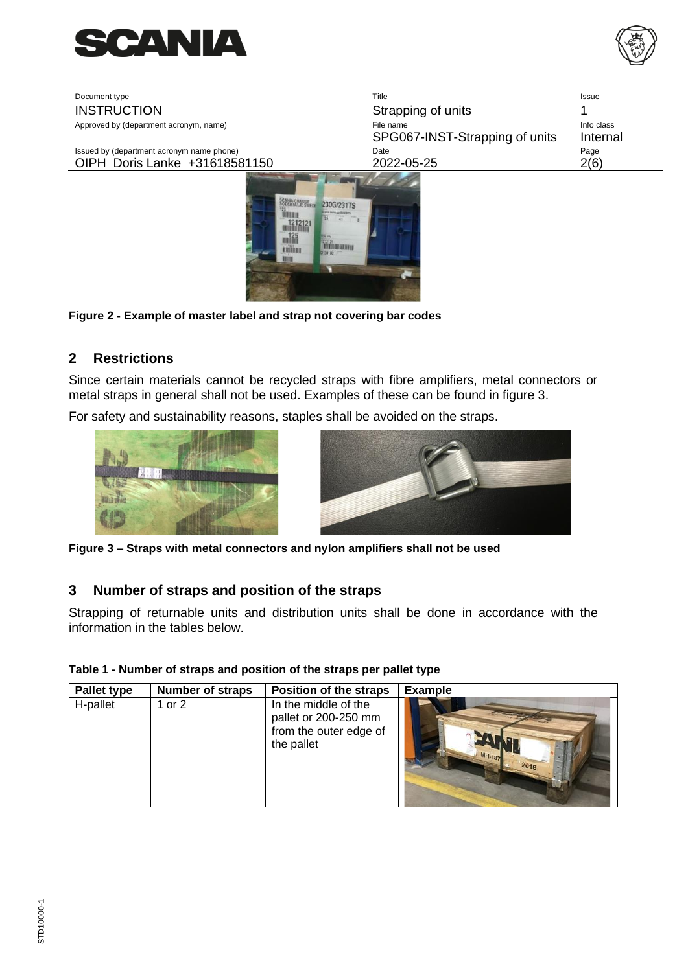



| Document type                                                                                                                                                                                                                                                                                                                                       | Title                                       | Issue                  |
|-----------------------------------------------------------------------------------------------------------------------------------------------------------------------------------------------------------------------------------------------------------------------------------------------------------------------------------------------------|---------------------------------------------|------------------------|
| <b>INSTRUCTION</b>                                                                                                                                                                                                                                                                                                                                  | Strapping of units                          |                        |
| Approved by (department acronym, name)                                                                                                                                                                                                                                                                                                              | File name<br>SPG067-INST-Strapping of units | Info class<br>Internal |
| Issued by (department acronym name phone)                                                                                                                                                                                                                                                                                                           | Date                                        | Page                   |
| OIPH Doris Lanke +31618581150                                                                                                                                                                                                                                                                                                                       | 2022-05-25                                  | 2(6)                   |
| <b>SCAMA CHASSE</b><br>230G/231TS<br><b>TENTH</b><br><b>didir</b><br>$\frac{125}{111}$<br>en en de la familie de la familie de la familie de la familie de la familie de la familie de la familie de la<br>Décembre de la familie de la familie de la familie de la familie de la familie de la familie de la familie de<br>A SUBDIDIO U<br>1130103 |                                             |                        |

**Figure 2 - Example of master label and strap not covering bar codes**

### **2 Restrictions**

Since certain materials cannot be recycled straps with fibre amplifiers, metal connectors or metal straps in general shall not be used. Examples of these can be found in figure 3.

For safety and sustainability reasons, staples shall be avoided on the straps.





**Figure 3 – Straps with metal connectors and nylon amplifiers shall not be used**

#### **3 Number of straps and position of the straps**

Strapping of returnable units and distribution units shall be done in accordance with the information in the tables below.

#### **Table 1 - Number of straps and position of the straps per pallet type**

| Pallet type | <b>Number of straps</b> | Position of the straps                                                               | <b>Example</b>        |
|-------------|-------------------------|--------------------------------------------------------------------------------------|-----------------------|
| H-pallet    | or $2$                  | In the middle of the<br>pallet or 200-250 mm<br>from the outer edge of<br>the pallet | <b>MH-187</b><br>2018 |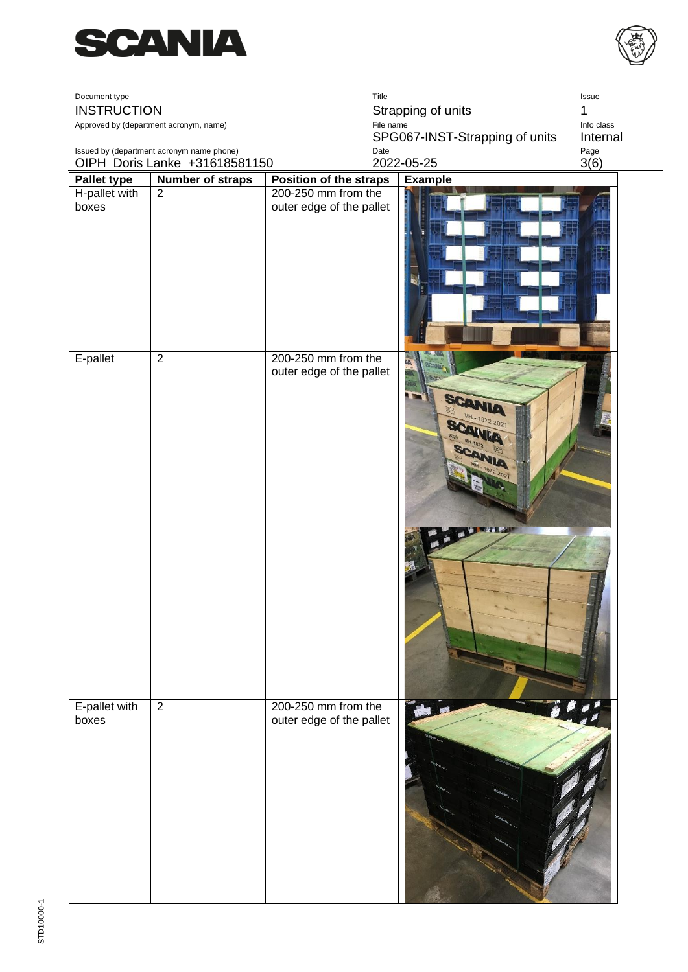



| Document type                             |                                        |                                                 | Title                                  | Issue            |
|-------------------------------------------|----------------------------------------|-------------------------------------------------|----------------------------------------|------------------|
| <b>INSTRUCTION</b>                        |                                        | Strapping of units<br>1                         |                                        |                  |
|                                           | Approved by (department acronym, name) |                                                 | File name                              | Info class       |
| Issued by (department acronym name phone) |                                        |                                                 | SPG067-INST-Strapping of units<br>Date | Internal<br>Page |
|                                           | OIPH Doris Lanke +31618581150          |                                                 | 2022-05-25                             | 3(6)             |
| <b>Pallet type</b>                        | <b>Number of straps</b>                | <b>Position of the straps</b>                   | <b>Example</b>                         |                  |
| H-pallet with<br>boxes                    | $\overline{2}$                         | 200-250 mm from the<br>outer edge of the pallet |                                        |                  |
|                                           |                                        |                                                 |                                        |                  |
| E-pallet                                  | $\overline{2}$                         | 200-250 mm from the<br>outer edge of the pallet | MIL<br>MH-1872 2021                    |                  |
|                                           |                                        |                                                 |                                        |                  |
| E-pallet with<br>boxes                    | $\overline{2}$                         | 200-250 mm from the<br>outer edge of the pallet |                                        |                  |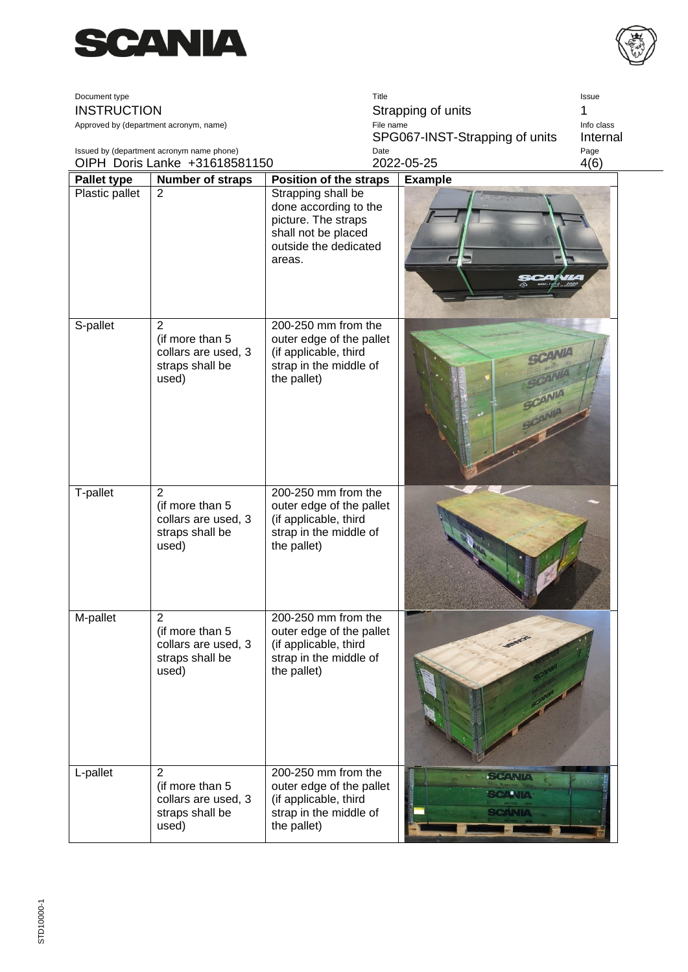



| Document type<br><b>INSTRUCTION</b> | Approved by (department acronym, name)<br>Issued by (department acronym name phone)  | Title<br>Strapping of units<br>File name<br>SPG067-INST-Strapping of units<br>Date                                           |                                                 | Issue<br>Info class<br>Internal<br>Page |
|-------------------------------------|--------------------------------------------------------------------------------------|------------------------------------------------------------------------------------------------------------------------------|-------------------------------------------------|-----------------------------------------|
|                                     | OIPH Doris Lanke +31618581150                                                        |                                                                                                                              | 2022-05-25                                      | 4(6)                                    |
| <b>Pallet type</b>                  | <b>Number of straps</b>                                                              | <b>Position of the straps</b>                                                                                                | <b>Example</b>                                  |                                         |
| Plastic pallet                      | $\overline{2}$                                                                       | Strapping shall be<br>done according to the<br>picture. The straps<br>shall not be placed<br>outside the dedicated<br>areas. |                                                 |                                         |
| S-pallet                            | $\overline{2}$<br>(if more than 5<br>collars are used, 3<br>straps shall be<br>used) | 200-250 mm from the<br>outer edge of the pallet<br>(if applicable, third<br>strap in the middle of<br>the pallet)            | PANIA                                           |                                         |
| T-pallet                            | 2<br>(if more than 5<br>collars are used, 3<br>straps shall be<br>used)              | 200-250 mm from the<br>outer edge of the pallet<br>(if applicable, third<br>strap in the middle of<br>the pallet)            |                                                 |                                         |
| M-pallet                            | $\overline{2}$<br>(if more than 5<br>collars are used, 3<br>straps shall be<br>used) | 200-250 mm from the<br>outer edge of the pallet<br>(if applicable, third<br>strap in the middle of<br>the pallet)            |                                                 |                                         |
| L-pallet                            | $\overline{2}$<br>(if more than 5<br>collars are used, 3<br>straps shall be<br>used) | 200-250 mm from the<br>outer edge of the pallet<br>(if applicable, third<br>strap in the middle of<br>the pallet)            | <b>SCANIA</b><br><b>SCANIA</b><br><b>SCANIA</b> |                                         |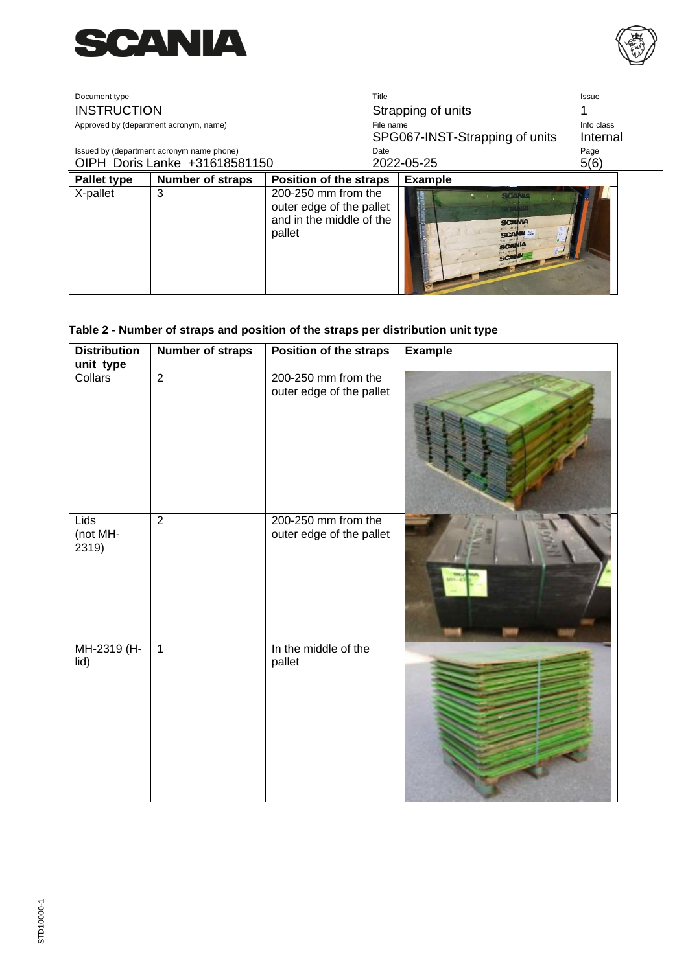



| Document type      |                                           | Title                                                                                 |                                                                        | Issue      |
|--------------------|-------------------------------------------|---------------------------------------------------------------------------------------|------------------------------------------------------------------------|------------|
| <b>INSTRUCTION</b> |                                           |                                                                                       | Strapping of units                                                     |            |
|                    | Approved by (department acronym, name)    | File name                                                                             |                                                                        | Info class |
|                    |                                           |                                                                                       | SPG067-INST-Strapping of units                                         | Internal   |
|                    | Issued by (department acronym name phone) | Date                                                                                  |                                                                        | Page       |
|                    | OIPH Doris Lanke +31618581150             |                                                                                       | 2022-05-25                                                             | 5(6)       |
| Pallet type        | Number of straps                          | <b>Position of the straps</b>                                                         | <b>Example</b>                                                         |            |
| X-pallet           | 3                                         | 200-250 mm from the<br>outer edge of the pallet<br>and in the middle of the<br>pallet | سال المستوقف<br><b>SCANIA</b><br><b>SCANU</b><br><b>SCANIA</b><br>GCAI |            |

## **Table 2 - Number of straps and position of the straps per distribution unit type**

| <b>Distribution</b><br>unit type | <b>Number of straps</b> | Position of the straps                          | <b>Example</b> |
|----------------------------------|-------------------------|-------------------------------------------------|----------------|
| Collars                          | $\overline{2}$          | 200-250 mm from the<br>outer edge of the pallet |                |
| <b>Lids</b><br>(not MH-<br>2319) | $\overline{2}$          | 200-250 mm from the<br>outer edge of the pallet |                |
| MH-2319 (H-<br>lid)              | $\overline{1}$          | In the middle of the<br>pallet                  |                |